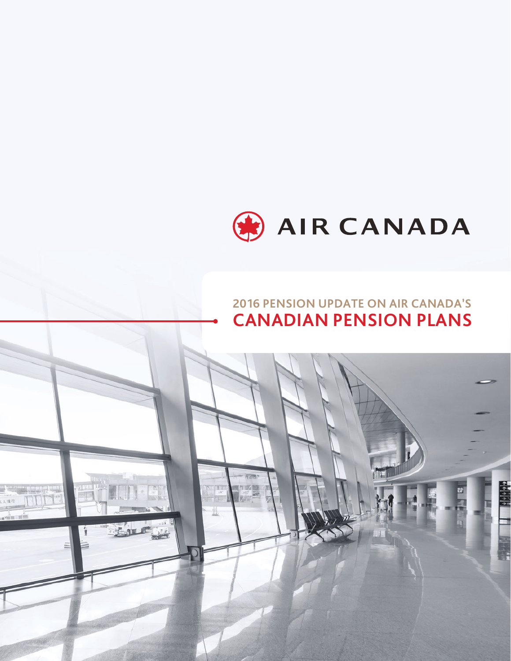

# **2016 PENSION UPDATE ON AIR CANADA'S CANADIAN PENSION PLANS**

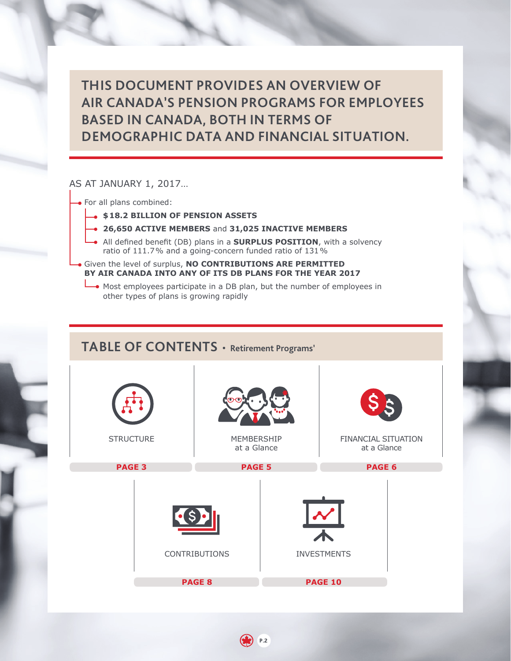**THIS DOCUMENT PROVIDES AN OVERVIEW OF AIR CANADA'S PENSION PROGRAMS FOR EMPLOYEES BASED IN CANADA, BOTH IN TERMS OF DEMOGRAPHIC DATA AND FINANCIAL SITUATION.**

### AS AT JANUARY 1, 2017…

- For all plans combined:
	- **\$ 18.2 BILLION OF PENSION ASSETS**
	- **26,650 ACTIVE MEMBERS** and **31,025 INACTIVE MEMBERS**
	- All defined benefit (DB) plans in a **SURPLUS POSITION**, with a solvency ratio of 111.7 % and a going-concern funded ratio of 131 %

Given the level of surplus, **NO CONTRIBUTIONS ARE PERMITTED BY AIR CANADA INTO ANY OF ITS DB PLANS FOR THE YEAR 2017**

Most employees participate in a DB plan, but the number of employees in other types of plans is growing rapidly

## **TABLE OF CONTENTS** • **Retirement Programs'**

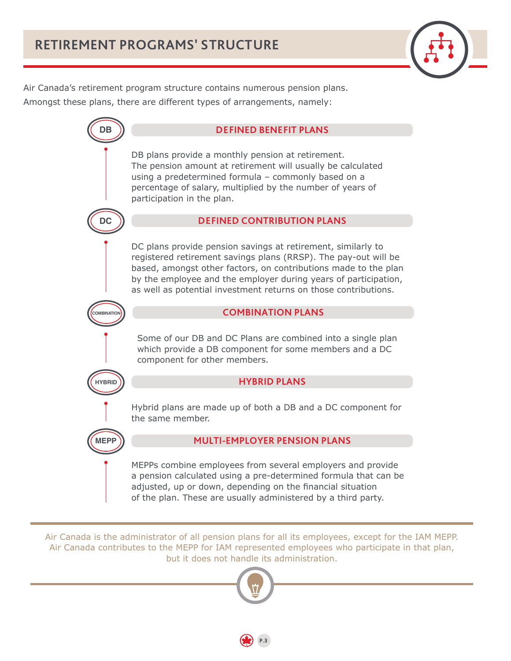

<span id="page-2-0"></span>Air Canada's retirement program structure contains numerous pension plans. Amongst these plans, there are different types of arrangements, namely:



Air Canada is the administrator of all pension plans for all its employees, except for the IAM MEPP. Air Canada contributes to the MEPP for IAM represented employees who participate in that plan, but it does not handle its administration.

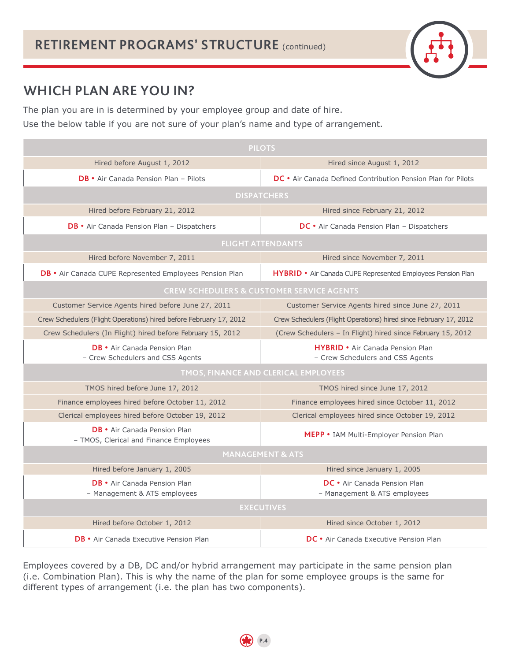# **WHICH PLAN ARE YOU IN?**

The plan you are in is determined by your employee group and date of hire. Use the below table if you are not sure of your plan's name and type of arrangement.

| <b>PILOTS</b>                                                                 |                                                                      |  |  |  |
|-------------------------------------------------------------------------------|----------------------------------------------------------------------|--|--|--|
| Hired before August 1, 2012                                                   | Hired since August 1, 2012                                           |  |  |  |
| <b>DB</b> • Air Canada Pension Plan - Pilots                                  | DC . Air Canada Defined Contribution Pension Plan for Pilots         |  |  |  |
| <b>DISPATCHERS</b>                                                            |                                                                      |  |  |  |
| Hired before February 21, 2012                                                | Hired since February 21, 2012                                        |  |  |  |
| $DB \cdot$ Air Canada Pension Plan – Dispatchers                              | <b>DC</b> • Air Canada Pension Plan – Dispatchers                    |  |  |  |
| <b>FLIGHT ATTENDANTS</b>                                                      |                                                                      |  |  |  |
| Hired before November 7, 2011                                                 | Hired since November 7, 2011                                         |  |  |  |
| <b>DB</b> • Air Canada CUPE Represented Employees Pension Plan                | <b>HYBRID</b> • Air Canada CUPE Represented Employees Pension Plan   |  |  |  |
| <b>CREW SCHEDULERS &amp; CUSTOMER SERVICE AGENTS</b>                          |                                                                      |  |  |  |
| Customer Service Agents hired before June 27, 2011                            | Customer Service Agents hired since June 27, 2011                    |  |  |  |
| Crew Schedulers (Flight Operations) hired before February 17, 2012            | Crew Schedulers (Flight Operations) hired since February 17, 2012    |  |  |  |
| Crew Schedulers (In Flight) hired before February 15, 2012                    | (Crew Schedulers - In Flight) hired since February 15, 2012          |  |  |  |
| <b>DB</b> • Air Canada Pension Plan<br>- Crew Schedulers and CSS Agents       | HYBRID • Air Canada Pension Plan<br>- Crew Schedulers and CSS Agents |  |  |  |
|                                                                               | TMOS, FINANCE AND CLERICAL EMPLOYEES                                 |  |  |  |
| TMOS hired before June 17, 2012                                               | TMOS hired since June 17, 2012                                       |  |  |  |
| Finance employees hired before October 11, 2012                               | Finance employees hired since October 11, 2012                       |  |  |  |
| Clerical employees hired before October 19, 2012                              | Clerical employees hired since October 19, 2012                      |  |  |  |
| <b>DB</b> • Air Canada Pension Plan<br>- TMOS, Clerical and Finance Employees | MEPP . IAM Multi-Employer Pension Plan                               |  |  |  |
| <b>MANAGEMENT &amp; ATS</b>                                                   |                                                                      |  |  |  |
| Hired before January 1, 2005                                                  | Hired since January 1, 2005                                          |  |  |  |
| <b>DB</b> • Air Canada Pension Plan<br>- Management & ATS employees           | DC • Air Canada Pension Plan<br>- Management & ATS employees         |  |  |  |
| <b>EXECUTIVES</b>                                                             |                                                                      |  |  |  |
| Hired before October 1, 2012                                                  | Hired since October 1, 2012                                          |  |  |  |
| <b>DB</b> • Air Canada Executive Pension Plan                                 | <b>DC</b> • Air Canada Executive Pension Plan                        |  |  |  |

Employees covered by a DB, DC and/or hybrid arrangement may participate in the same pension plan (i.e. Combination Plan). This is why the name of the plan for some employee groups is the same for different types of arrangement (i.e. the plan has two components).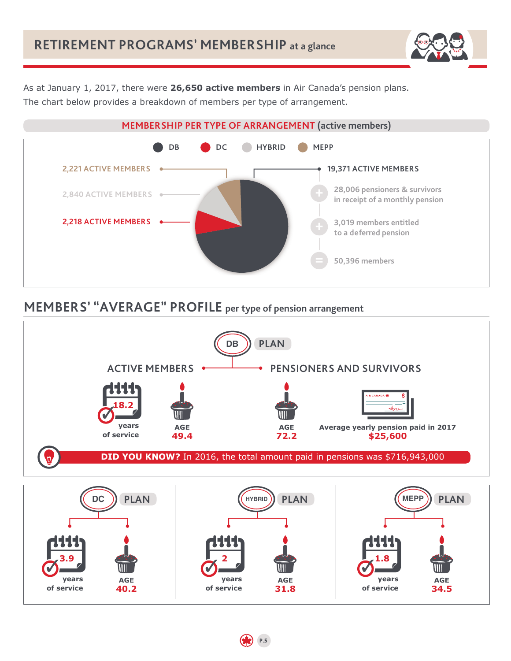

<span id="page-4-0"></span>As at January 1, 2017, there were **26,650 active members** in Air Canada's pension plans. The chart below provides a breakdown of members per type of arrangement.



# **MEMBERS' "AVERAGE" PROFILE per type of pension arrangement**

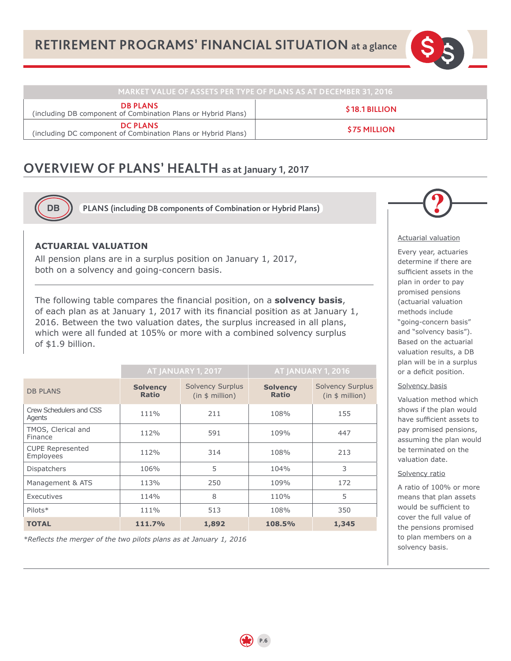

<span id="page-5-0"></span>

| , MARKET VALUE OF ASSETS PER TYPE OF PLANS AS AT DECEMBER 31, 2016 '             |                    |  |  |
|----------------------------------------------------------------------------------|--------------------|--|--|
| <b>DB PLANS</b><br>(including DB component of Combination Plans or Hybrid Plans) | \$18.1 BILLION     |  |  |
| <b>DC PLANS</b><br>(including DC component of Combination Plans or Hybrid Plans) | <b>S75 MILLION</b> |  |  |

## **OVERVIEW OF PLANS' HEALTH as at January 1, 2017**



**PLANS (including DB components of Combination or Hybrid Plans)**

### **ACTUARIAL VALUATION**

All pension plans are in a surplus position on January 1, 2017, both on a solvency and going-concern basis.

The following table compares the financial position, on a **solvency basis**, of each plan as at January 1, 2017 with its financial position as at January 1, 2016. Between the two valuation dates, the surplus increased in all plans, which were all funded at 105% or more with a combined solvency surplus of \$1.9 billion.

|                                      | <b>AT JANUARY 1, 2017</b>       |                                            | AT JANUARY 1, 2016              |                                            |
|--------------------------------------|---------------------------------|--------------------------------------------|---------------------------------|--------------------------------------------|
| <b>DB PLANS</b>                      | <b>Solvency</b><br><b>Ratio</b> | <b>Solvency Surplus</b><br>(in \$ million) | <b>Solvency</b><br><b>Ratio</b> | <b>Solvency Surplus</b><br>(in \$ million) |
| Crew Schedulers and CSS<br>Agents    | 111%                            | 211                                        | 108%                            | 155                                        |
| TMOS, Clerical and<br>Finance        | 112%                            | 591                                        | 109%                            | 447                                        |
| <b>CUPE Represented</b><br>Employees | 112%                            | 314                                        | 108%                            | 213                                        |
| <b>Dispatchers</b>                   | 106%                            | 5                                          | 104%                            | 3                                          |
| Management & ATS                     | 113%                            | 250                                        | 109%                            | 172                                        |
| Executives                           | 114%                            | 8                                          | 110%                            | 5                                          |
| Pilots*                              | 111%                            | 513                                        | 108%                            | 350                                        |
| <b>TOTAL</b>                         | 111.7%                          | 1,892                                      | 108.5%                          | 1,345                                      |

**P.6**

*\*Reflects the merger of the two pilots plans as at January 1, 2016*



#### Actuarial valuation

Every year, actuaries determine if there are sufficient assets in the plan in order to pay promised pensions (actuarial valuation methods include "going-concern basis" and "solvency basis"). Based on the actuarial valuation results, a DB plan will be in a surplus or a deficit position.

### Solvency basis

Valuation method which shows if the plan would have sufficient assets to pay promised pensions, assuming the plan would be terminated on the valuation date.

### Solvency ratio

A ratio of 100% or more means that plan assets would be sufficient to cover the full value of the pensions promised to plan members on a solvency basis.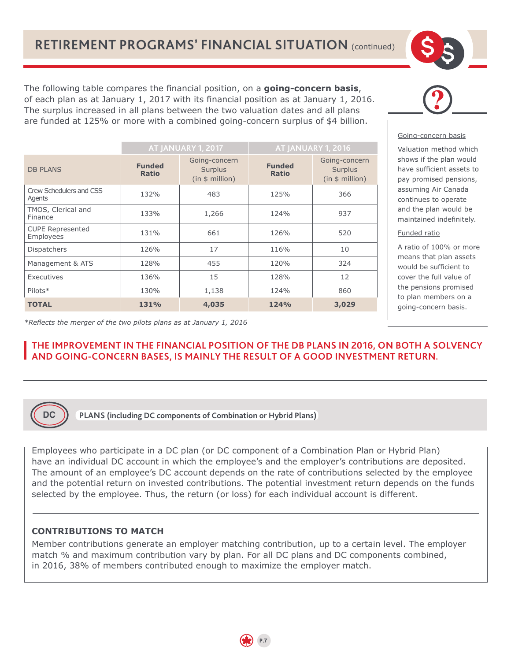The following table compares the financial position, on a **going-concern basis**, of each plan as at January 1, 2017 with its financial position as at January 1, 2016. The surplus increased in all plans between the two valuation dates and all plans are funded at 125% or more with a combined going-concern surplus of \$4 billion.

|                                      | AT JANUARY 1, 2017            |                                             | AT JANUARY 1, 2016            |                                             |
|--------------------------------------|-------------------------------|---------------------------------------------|-------------------------------|---------------------------------------------|
| <b>DB PLANS</b>                      | <b>Funded</b><br><b>Ratio</b> | Going-concern<br>Surplus<br>(in \$ million) | <b>Funded</b><br><b>Ratio</b> | Going-concern<br>Surplus<br>(in \$ million) |
| Crew Schedulers and CSS<br>Agents    | 132%                          | 483                                         | 125%                          | 366                                         |
| TMOS, Clerical and<br>Finance        | 133%                          | 1,266                                       | 124%                          | 937                                         |
| <b>CUPE Represented</b><br>Employees | 131%                          | 661                                         | 126%                          | 520                                         |
| <b>Dispatchers</b>                   | 126%                          | 17                                          | 116%                          | 10                                          |
| Management & ATS                     | 128%                          | 455                                         | 120%                          | 324                                         |
| Executives                           | 136%                          | 15                                          | 128%                          | 12                                          |
| Pilots*                              | 130%                          | 1,138                                       | 124%                          | 860                                         |
| <b>TOTAL</b>                         | 131%                          | 4,035                                       | 124%                          | 3,029                                       |



### Going-concern basis

Valuation method which shows if the plan would have sufficient assets to pay promised pensions, assuming Air Canada continues to operate and the plan would be maintained indefinitely.

### Funded ratio

A ratio of 100% or more means that plan assets would be sufficient to cover the full value of the pensions promised to plan members on a going-concern basis.

*\*Reflects the merger of the two pilots plans as at January 1, 2016*

### **THE IMPROVEMENT IN THE FINANCIAL POSITION OF THE DB PLANS IN 2016, ON BOTH A SOLVENCY AND GOING-CONCERN BASES, IS MAINLY THE RESULT OF A GOOD INVESTMENT RETURN.**



**PLANS (including DC components of Combination or Hybrid Plans)**

Employees who participate in a DC plan (or DC component of a Combination Plan or Hybrid Plan) have an individual DC account in which the employee's and the employer's contributions are deposited. The amount of an employee's DC account depends on the rate of contributions selected by the employee and the potential return on invested contributions. The potential investment return depends on the funds selected by the employee. Thus, the return (or loss) for each individual account is different.

### **CONTRIBUTIONS TO MATCH**

Member contributions generate an employer matching contribution, up to a certain level. The employer match % and maximum contribution vary by plan. For all DC plans and DC components combined, in 2016, 38% of members contributed enough to maximize the employer match.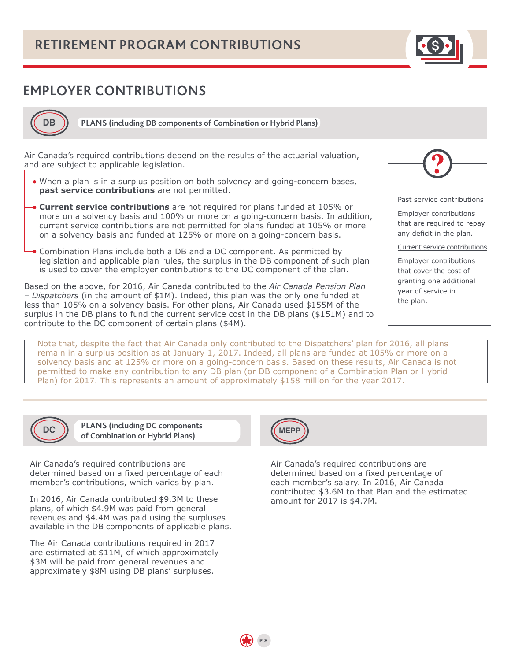# <span id="page-7-0"></span>**EMPLOYER CONTRIBUTIONS**



**PLANS (including DB components of Combination or Hybrid Plans)**

Air Canada's required contributions depend on the results of the actuarial valuation, and are subject to applicable legislation.

- When a plan is in a surplus position on both solvency and going-concern bases, **past service contributions** are not permitted.
- **Current service contributions** are not required for plans funded at 105% or more on a solvency basis and 100% or more on a going-concern basis. In addition, current service contributions are not permitted for plans funded at 105% or more on a solvency basis and funded at 125% or more on a going-concern basis.
- Combination Plans include both a DB and a DC component. As permitted by legislation and applicable plan rules, the surplus in the DB component of such plan is used to cover the employer contributions to the DC component of the plan.

Based on the above, for 2016, Air Canada contributed to the *Air Canada Pension Plan – Dispatchers* (in the amount of \$1M). Indeed, this plan was the only one funded at less than 105% on a solvency basis. For other plans, Air Canada used \$155M of the surplus in the DB plans to fund the current service cost in the DB plans (\$151M) and to contribute to the DC component of certain plans (\$4M).

Note that, despite the fact that Air Canada only contributed to the Dispatchers' plan for 2016, all plans remain in a surplus position as at January 1, 2017. Indeed, all plans are funded at 105% or more on a solvency basis and at 125% or more on a going-concern basis. Based on these results, Air Canada is not permitted to make any contribution to any DB plan (or DB component of a Combination Plan or Hybrid Plan) for 2017. This represents an amount of approximately \$158 million for the year 2017.



Past service contributions

Employer contributions that are required to repay any deficit in the plan.

Current service contributions

Employer contributions that cover the cost of granting one additional year of service in the plan.

**DC**

**PLANS (including DC components of Combination or Hybrid Plans)**

Air Canada's required contributions are determined based on a fixed percentage of each member's contributions, which varies by plan.

In 2016, Air Canada contributed \$9.3M to these plans, of which \$4.9M was paid from general revenues and \$4.4M was paid using the surpluses available in the DB components of applicable plans.

The Air Canada contributions required in 2017 are estimated at \$11M, of which approximately \$3M will be paid from general revenues and approximately \$8M using DB plans' surpluses.



Air Canada's required contributions are determined based on a fixed percentage of each member's salary. In 2016, Air Canada contributed \$3.6M to that Plan and the estimated amount for 2017 is \$4.7M.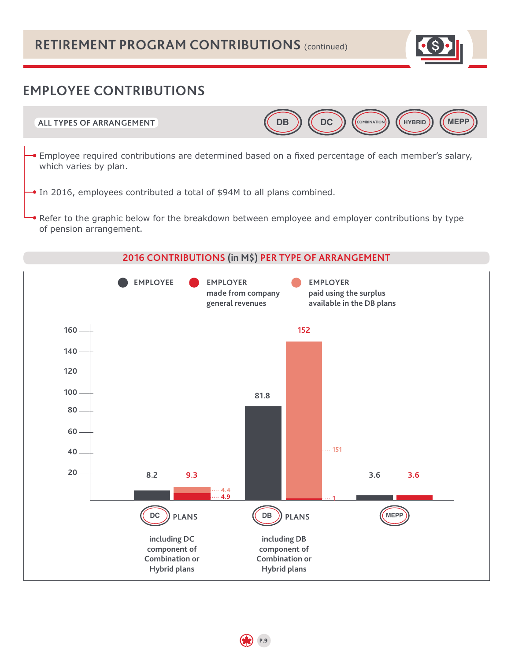# **RETIREMENT PROGRAM CONTRIBUTIONS** (continued)



# **EMPLOYEE CONTRIBUTIONS**



- Employee required contributions are determined based on a fixed percentage of each member's salary, which varies by plan.
- In 2016, employees contributed a total of \$94M to all plans combined.
- Refer to the graphic below for the breakdown between employee and employer contributions by type of pension arrangement.

### **2016 CONTRIBUTIONS (in M\$) PER TYPE OF ARRANGEMENT**

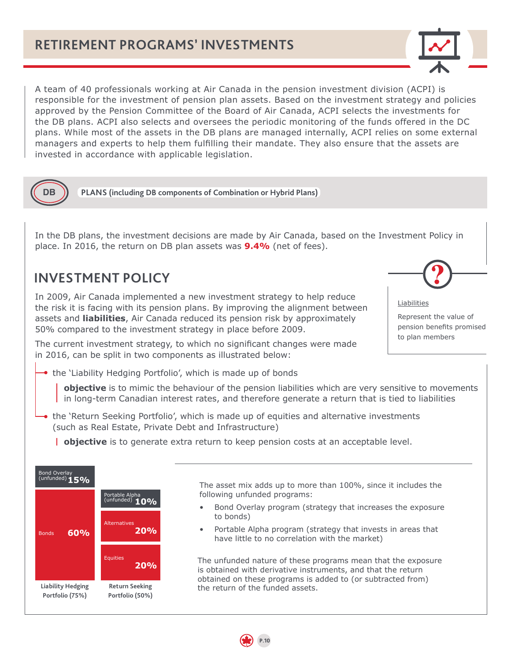

<span id="page-9-0"></span>A team of 40 professionals working at Air Canada in the pension investment division (ACPI) is responsible for the investment of pension plan assets. Based on the investment strategy and policies approved by the Pension Committee of the Board of Air Canada, ACPI selects the investments for the DB plans. ACPI also selects and oversees the periodic monitoring of the funds offered in the DC plans. While most of the assets in the DB plans are managed internally, ACPI relies on some external managers and experts to help them fulfilling their mandate. They also ensure that the assets are invested in accordance with applicable legislation.



**PLANS (including DB components of Combination or Hybrid Plans)** 

In the DB plans, the investment decisions are made by Air Canada, based on the Investment Policy in place. In 2016, the return on DB plan assets was **9.4%** (net of fees).

## **INVESTMENT POLICY**

In 2009, Air Canada implemented a new investment strategy to help reduce the risk it is facing with its pension plans. By improving the alignment between assets and **liabilities**, Air Canada reduced its pension risk by approximately 50% compared to the investment strategy in place before 2009.

The current investment strategy, to which no significant changes were made in 2016, can be split in two components as illustrated below:



Liabilities

Represent the value of pension benefits promised to plan members

the 'Liability Hedging Portfolio', which is made up of bonds

**objective** is to mimic the behaviour of the pension liabilities which are very sensitive to movements in long-term Canadian interest rates, and therefore generate a return that is tied to liabilities

- the 'Return Seeking Portfolio', which is made up of equities and alternative investments (such as Real Estate, Private Debt and Infrastructure)
	- **objective** is to generate extra return to keep pension costs at an acceptable level.

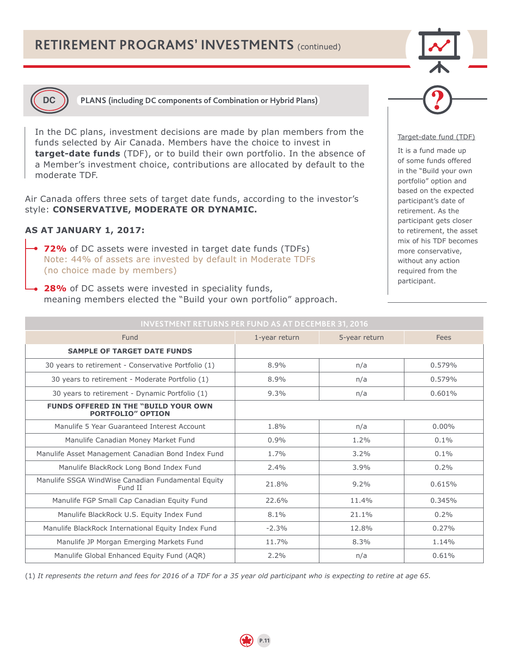# **RETIREMENT PROGRAMS' INVESTMENTS** (continued)





**DC PLANS (including DC components of Combination or Hybrid Plans)**

In the DC plans, investment decisions are made by plan members from the funds selected by Air Canada. Members have the choice to invest in **target-date funds** (TDF), or to build their own portfolio. In the absence of a Member's investment choice, contributions are allocated by default to the moderate TDF.

Air Canada offers three sets of target date funds, according to the investor's style: **CONSERVATIVE, MODERATE OR DYNAMIC.** 

### **AS AT JANUARY 1, 2017:**

- **72%** of DC assets were invested in target date funds (TDFs) Note: 44% of assets are invested by default in Moderate TDFs (no choice made by members)
- **28%** of DC assets were invested in speciality funds, meaning members elected the "Build your own portfolio" approach.



#### Target-date fund (TDF)

It is a fund made up of some funds offered in the "Build your own portfolio" option and based on the expected participant's date of retirement. As the participant gets closer to retirement, the asset mix of his TDF becomes more conservative, without any action required from the participant.

| ESTITENT IN FORNOT EN FOND AS AN DESETIBLING HESTS                       |               |               |          |  |
|--------------------------------------------------------------------------|---------------|---------------|----------|--|
| Fund                                                                     | 1-year return | 5-year return | Fees     |  |
| <b>SAMPLE OF TARGET DATE FUNDS</b>                                       |               |               |          |  |
| 30 years to retirement - Conservative Portfolio (1)                      | 8.9%          | n/a           | 0.579%   |  |
| 30 years to retirement - Moderate Portfolio (1)                          | 8.9%          | n/a           | 0.579%   |  |
| 30 years to retirement - Dynamic Portfolio (1)                           | 9.3%          | n/a           | 0.601%   |  |
| <b>FUNDS OFFERED IN THE "BUILD YOUR OWN"</b><br><b>PORTFOLIO" OPTION</b> |               |               |          |  |
| Manulife 5 Year Guaranteed Interest Account                              | 1.8%          | n/a           | $0.00\%$ |  |
| Manulife Canadian Money Market Fund                                      | $0.9\%$       | 1.2%          | $0.1\%$  |  |
| Manulife Asset Management Canadian Bond Index Fund                       | 1.7%          | 3.2%          | $0.1\%$  |  |
| Manulife BlackRock Long Bond Index Fund                                  | $2.4\%$       | 3.9%          | 0.2%     |  |
| Manulife SSGA WindWise Canadian Fundamental Equity<br>Fund II            | 21.8%         | 9.2%          | 0.615%   |  |
| Manulife FGP Small Cap Canadian Equity Fund                              | 22.6%         | 11.4%         | 0.345%   |  |
| Manulife BlackRock U.S. Equity Index Fund                                | 8.1%          | 21.1%         | 0.2%     |  |
| Manulife BlackRock International Equity Index Fund                       | $-2.3%$       | 12.8%         | 0.27%    |  |
| Manulife JP Morgan Emerging Markets Fund                                 | 11.7%         | 8.3%          | 1.14%    |  |
| Manulife Global Enhanced Equity Fund (AQR)                               | $2.2\%$       | n/a           | 0.61%    |  |

**INVESTMENT RETURNS PER FUND AS AT DECEMBER 31, 2016**

(1) *It represents the return and fees for 2016 of a TDF for a 35 year old participant who is expecting to retire at age 65.*